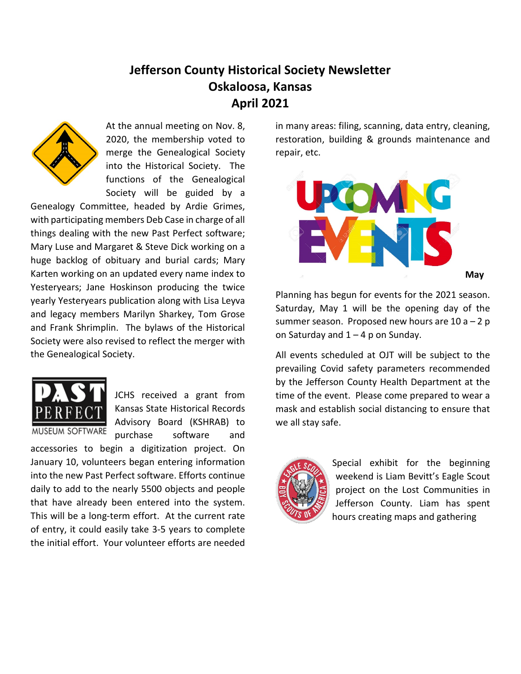## **Jefferson County Historical Society Newsletter Oskaloosa, Kansas April 2021**



At the annual meeting on Nov. 8, 2020, the membership voted to merge the Genealogical Society into the Historical Society. The functions of the Genealogical Society will be guided by a

Genealogy Committee, headed by Ardie Grimes, with participating members Deb Case in charge of all things dealing with the new Past Perfect software; Mary Luse and Margaret & Steve Dick working on a huge backlog of obituary and burial cards; Mary Karten working on an updated every name index to Yesteryears; Jane Hoskinson producing the twice yearly Yesteryears publication along with Lisa Leyva and legacy members Marilyn Sharkey, Tom Grose and Frank Shrimplin. The bylaws of the Historical Society were also revised to reflect the merger with the Genealogical Society.



JCHS received a grant from Kansas State Historical Records Advisory Board (KSHRAB) to purchase software and

accessories to begin a digitization project. On January 10, volunteers began entering information into the new Past Perfect software. Efforts continue daily to add to the nearly 5500 objects and people that have already been entered into the system. This will be a long-term effort. At the current rate of entry, it could easily take 3-5 years to complete the initial effort. Your volunteer efforts are needed in many areas: filing, scanning, data entry, cleaning, restoration, building & grounds maintenance and repair, etc.



Planning has begun for events for the 2021 season. Saturday, May 1 will be the opening day of the summer season. Proposed new hours are  $10 a - 2 p$ on Saturday and  $1 - 4$  p on Sunday.

All events scheduled at OJT will be subject to the prevailing Covid safety parameters recommended by the Jefferson County Health Department at the time of the event. Please come prepared to wear a mask and establish social distancing to ensure that we all stay safe.



Special exhibit for the beginning weekend is Liam Bevitt's Eagle Scout project on the Lost Communities in Jefferson County. Liam has spent hours creating maps and gathering